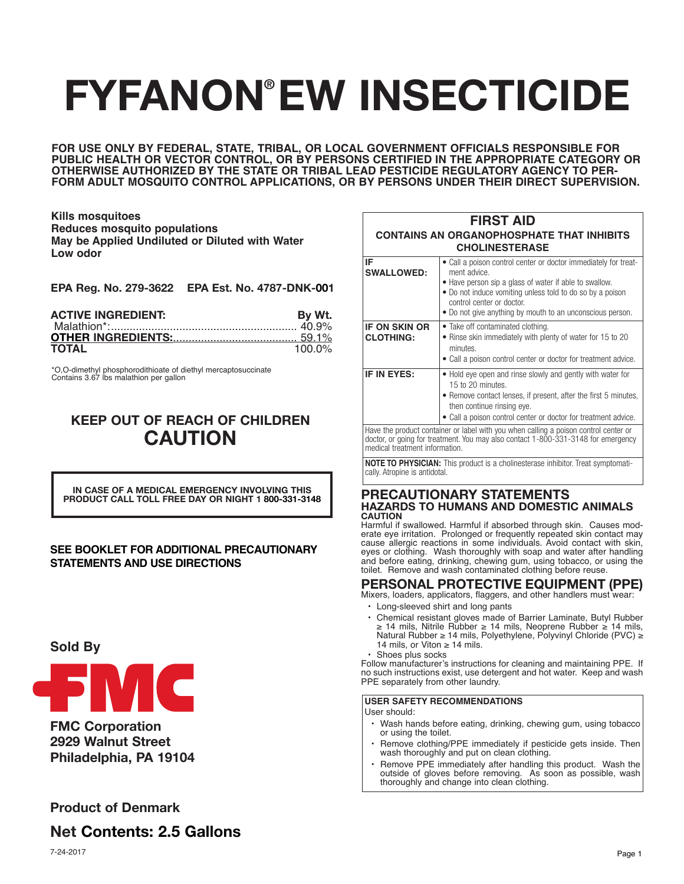# **FYFANON EW INSECTICIDE ®**

**FOR USE ONLY BY FEDERAL, STATE, TRIBAL, OR LOCAL GOVERNMENT OFFICIALS RESPONSIBLE FOR PUBLIC HEALTH OR VECTOR CONTROL, OR BY PERSONS CERTIFIED IN THE APPROPRIATE CATEGORY OR OTHERWISE AUTHORIZED BY THE STATE OR TRIBAL LEAD PESTICIDE REGULATORY AGENCY TO PER-FORM ADULT MOSQUITO CONTROL APPLICATIONS, OR BY PERSONS UNDER THEIR DIRECT SUPERVISION.**

**Kills mosquitoes Reduces mosquito populations May be Applied Undiluted or Diluted with Water Low odor**

| EPA Reg. No. 279-3622 EPA Est. No. 4787-DNK-001 |
|-------------------------------------------------|
|-------------------------------------------------|

| <b>ACTIVE INGREDIENT:</b> | By Wt.    |
|---------------------------|-----------|
|                           |           |
|                           |           |
| <b>TOTAL</b>              | $100.0\%$ |

\*O,O-dimethyl phosphorodithioate of diethyl mercaptosuccinate Contains 3.67 lbs malathion per gallon

# **KEEP OUT OF REACH OF CHILDREN CAUTION**

**IN CASE OF A MEDICAL EMERGENCY INVOLVING THIS PRODUCT CALL TOLL FREE DAY OR NIGHT 1 800-331-3148**

## **SEE BOOKLET FOR ADDITIONAL PRECAUTIONARY STATEMENTS AND USE DIRECTIONS**

# **Sold By**



**FMC Corporation 2929 Walnut Street Philadelphia, PA 19104**

# **Product of Denmark**

**Net Contents: 2.5 Gallons**

| ×<br>٠ |
|--------|

| <b>FIRST AID</b><br><b>CONTAINS AN ORGANOPHOSPHATE THAT INHIBITS</b><br><b>CHOLINESTERASE</b> |                                                                                                                                                                                                                                                                                                  |  |  |
|-----------------------------------------------------------------------------------------------|--------------------------------------------------------------------------------------------------------------------------------------------------------------------------------------------------------------------------------------------------------------------------------------------------|--|--|
| IF<br><b>SWALLOWED:</b>                                                                       | • Call a poison control center or doctor immediately for treat-<br>ment advice.<br>• Have person sip a glass of water if able to swallow.<br>• Do not induce vomiting unless told to do so by a poison<br>control center or doctor.<br>• Do not give anything by mouth to an unconscious person. |  |  |
| <b>IF ON SKIN OR</b><br><b>CLOTHING:</b>                                                      | • Take off contaminated clothing.<br>• Rinse skin immediately with plenty of water for 15 to 20<br>minutes.<br>• Call a poison control center or doctor for treatment advice.                                                                                                                    |  |  |
| IF IN EYES:                                                                                   | • Hold eye open and rinse slowly and gently with water for<br>15 to 20 minutes.<br>• Remove contact lenses, if present, after the first 5 minutes,<br>then continue rinsing eye.<br>• Call a poison control center or doctor for treatment advice.                                               |  |  |
| medical treatment information.                                                                | Have the product container or label with you when calling a poison control center or<br>doctor, or going for treatment. You may also contact 1-800-331-3148 for emergency                                                                                                                        |  |  |

**NOTE TO PHYSICIAN:** This product is a cholinesterase inhibitor. Treat symptomatically. Atropine is antidotal.

#### **PRECAUTIONARY STATEMENTS HAZARDS TO HUMANS AND DOMESTIC ANIMALS CAUTION**

Harmful if swallowed. Harmful if absorbed through skin. Causes moderate eye irritation. Prolonged or frequently repeated skin contact may cause allergic reactions in some individuals. Avoid contact with skin, eyes or clothing. Wash thoroughly with soap and water after handling and before eating, drinking, chewing gum, using tobacco, or using the toilet. Remove and wash contaminated clothing before reuse.

# **PERSONAL PROTECTIVE EQUIPMENT (PPE)**

Mixers, loaders, applicators, flaggers, and other handlers must wear:

- Long-sleeved shirt and long pants
- Chemical resistant gloves made of Barrier Laminate, Butyl Rubber ≥ 14 mils, Nitrile Rubber ≥ 14 mils, Neoprene Rubber ≥ 14 mils, Natural Rubber ≥ 14 mils, Polyethylene, Polyvinyl Chloride (PVC) ≥ 14 mils, or Viton  $\geq$  14 mils.
- Shoes plus socks

Follow manufacturer's instructions for cleaning and maintaining PPE. If no such instructions exist, use detergent and hot water. Keep and wash PPE separately from other laundry.

### **USER SAFETY RECOMMENDATIONS**

User should:

- Wash hands before eating, drinking, chewing gum, using tobacco or using the toilet.
- Remove clothing/PPE immediately if pesticide gets inside. Then wash thoroughly and put on clean clothing.
- Remove PPE immediately after handling this product. Wash the outside of gloves before removing. As soon as possible, wash thoroughly and change into clean clothing.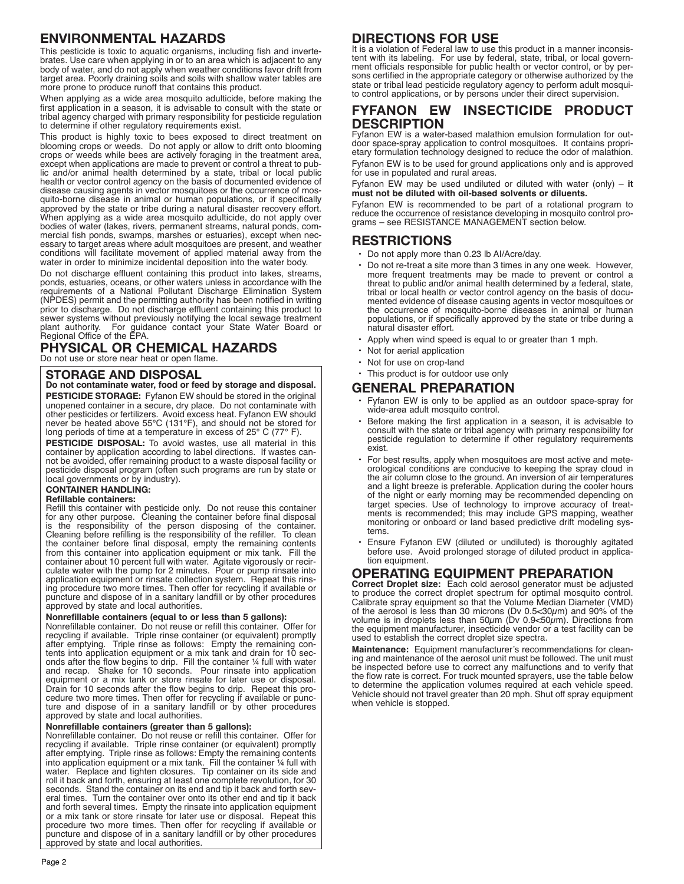# **ENVIRONMENTAL HAZARDS**

This pesticide is toxic to aquatic organisms, including fish and invertebrates. Use care when applying in or to an area which is adjacent to any body of water, and do not apply when weather conditions favor drift from target area. Poorly draining soils and soils with shallow water tables are more prone to produce runoff that contains this product.

When applying as a wide area mosquito adulticide, before making the first application in a season, it is advisable to consult with the state or tribal agency charged with primary responsibility for pesticide regulation to determine if other regulatory requirements exist.

This product is highly toxic to bees exposed to direct treatment on blooming crops or weeds. Do not apply or allow to drift onto blooming crops or weeds while bees are actively foraging in the treatment area, except when applications are made to prevent or control a threat to public and/or animal health determined by a state, tribal or local public health or vector control agency on the basis of documented evidence of disease causing agents in vector mosquitoes or the occurrence of mosquito-borne disease in animal or human populations, or if specifically approved by the state or tribe during a natural disaster recovery effort. When applying as a wide area mosquito adulticide, do not apply over bodies of water (lakes, rivers, permanent streams, natural ponds, commercial fish ponds, swamps, marshes or estuaries), except when necessary to target areas where adult mosquitoes are present, and weather conditions will facilitate movement of applied material away from the water in order to minimize incidental deposition into the water body.

Do not discharge effluent containing this product into lakes, streams, ponds, estuaries, oceans, or other waters unless in accordance with the requirements of a National Pollutant Discharge Elimination System (NPDES) permit and the permitting authority has been notified in writing prior to discharge. Do not discharge effluent containing this product to sewer systems without previously notifying the local sewage treatment plant authority. For guidance contact your State Water Board or Regional Office of the EPA.

# **PHYSICAL OR CHEMICAL HAZARDS**

Do not use or store near heat or open flame.

## **STORAGE AND DISPOSAL**

**Do not contaminate water, food or feed by storage and disposal. PESTICIDE STORAGE:** Fyfanon EW should be stored in the original unopened container in a secure, dry place. Do not contaminate with other pesticides or fertilizers. Avoid excess heat. Fyfanon EW should never be heated above 55°C (131°F), and should not be stored for long periods of time at a temperature in excess of 25° C (77° F).

**PESTICIDE DISPOSAL:** To avoid wastes, use all material in this container by application according to label directions. If wastes cannot be avoided, offer remaining product to a waste disposal facility or pesticide disposal program (often such programs are run by state or local governments or by industry).

#### **CONTAINER HANDLING:**

#### **Refillable containers:**

Refill this container with pesticide only. Do not reuse this container for any other purpose. Cleaning the container before final disposal is the responsibility of the person disposing of the container. Cleaning before refilling is the responsibility of the refiller. To clean the container before final disposal, empty the remaining contents from this container into application equipment or mix tank. Fill the container about 10 percent full with water. Agitate vigorously or recirculate water with the pump for 2 minutes. Pour or pump rinsate into application equipment or rinsate collection system. Repeat this rinsing procedure two more times. Then offer for recycling if available or puncture and dispose of in a sanitary landfill or by other procedures approved by state and local authorities.

#### **Nonrefillable containers (equal to or less than 5 gallons):**

Nonrefillable container. Do not reuse or refill this container. Offer for recycling if available. Triple rinse container (or equivalent) promptly after emptying. Triple rinse as follows: Empty the remaining contents into application equipment or a mix tank and drain for 10 seconds after the flow begins to drip. Fill the container ¼ full with water and recap. Shake for 10 seconds. Pour rinsate into application equipment or a mix tank or store rinsate for later use or disposal. Drain for 10 seconds after the flow begins to drip. Repeat this procedure two more times. Then offer for recycling if available or puncture and dispose of in a sanitary landfill or by other procedures approved by state and local authorities.

#### **Nonrefillable containers (greater than 5 gallons):**

Nonrefillable container. Do not reuse or refill this container. Offer for recycling if available. Triple rinse container (or equivalent) promptly after emptying. Triple rinse as follows: Empty the remaining contents into application equipment or a mix tank. Fill the container ¼ full with water. Replace and tighten closures. Tip container on its side and roll it back and forth, ensuring at least one complete revolution, for 30 seconds. Stand the container on its end and tip it back and forth several times. Turn the container over onto its other end and tip it back and forth several times. Empty the rinsate into application equipment or a mix tank or store rinsate for later use or disposal. Repeat this procedure two more times. Then offer for recycling if available or puncture and dispose of in a sanitary landfill or by other procedures approved by state and local authorities.

# **DIRECTIONS FOR USE**

It is a violation of Federal law to use this product in a manner inconsistent with its labeling. For use by federal, state, tribal, or local government officials responsible for public health or vector control, or by persons certified in the appropriate category or otherwise authorized by the state or tribal lead pesticide regulatory agency to perform adult mosquito control applications, or by persons under their direct supervision.

# **FYFANON EW INSECTICIDE PRODUCT DESCRIPTION**

Fyfanon EW is a water-based malathion emulsion formulation for outdoor space-spray application to control mosquitoes. It contains proprietary formulation technology designed to reduce the odor of malathion. Fyfanon EW is to be used for ground applications only and is approved for use in populated and rural areas.

Fyfanon EW may be used undiluted or diluted with water (only) – **it must not be diluted with oil-based solvents or diluents.**

Fyfanon EW is recommended to be part of a rotational program to reduce the occurrence of resistance developing in mosquito control programs – see RESISTANCE MANAGEMENT section below.

## **RESTRICTIONS**

- Do not apply more than 0.23 lb AI/Acre/day.
- Do not re-treat a site more than 3 times in any one week. However, more frequent treatments may be made to prevent or control a threat to public and/or animal health determined by a federal, state, tribal or local health or vector control agency on the basis of documented evidence of disease causing agents in vector mosquitoes or the occurrence of mosquito-borne diseases in animal or human populations, or if specifically approved by the state or tribe during a natural disaster effort.
- Apply when wind speed is equal to or greater than 1 mph.
- Not for aerial application
- Not for use on crop-land
- This product is for outdoor use only

## **GENERAL PREPARATION**

- Fyfanon EW is only to be applied as an outdoor space-spray for wide-area adult mosquito control.
- Before making the first application in a season, it is advisable to consult with the state or tribal agency with primary responsibility for pesticide regulation to determine if other regulatory requirements exist.
- For best results, apply when mosquitoes are most active and meteorological conditions are conducive to keeping the spray cloud in the air column close to the ground. An inversion of air temperatures and a light breeze is preferable. Application during the cooler hours of the night or early morning may be recommended depending on target species. Use of technology to improve accuracy of treatments is recommended; this may include GPS mapping, weather monitoring or onboard or land based predictive drift modeling systems.
- Ensure Fyfanon EW (diluted or undiluted) is thoroughly agitated before use. Avoid prolonged storage of diluted product in application equipment.

# **OPERATING EQUIPMENT PREPARATION**

**Correct Droplet size:** Each cold aerosol generator must be adjusted to produce the correct droplet spectrum for optimal mosquito control. Calibrate spray equipment so that the Volume Median Diameter (VMD) of the aerosol is less than 30 microns (Dv 0.5<30 $\mu$ m) and 90% of the volume is in droplets less than 50 $\mu$ m (Dv 0.9<50 $\mu$ m). Directions from the equipment manufacturer, insecticide vendor or a test facility can be used to establish the correct droplet size spectra.

**Maintenance:** Equipment manufacturer's recommendations for cleaning and maintenance of the aerosol unit must be followed. The unit must be inspected before use to correct any malfunctions and to verify that the flow rate is correct. For truck mounted sprayers, use the table below to determine the application volumes required at each vehicle speed. Vehicle should not travel greater than 20 mph. Shut off spray equipment when vehicle is stopped.